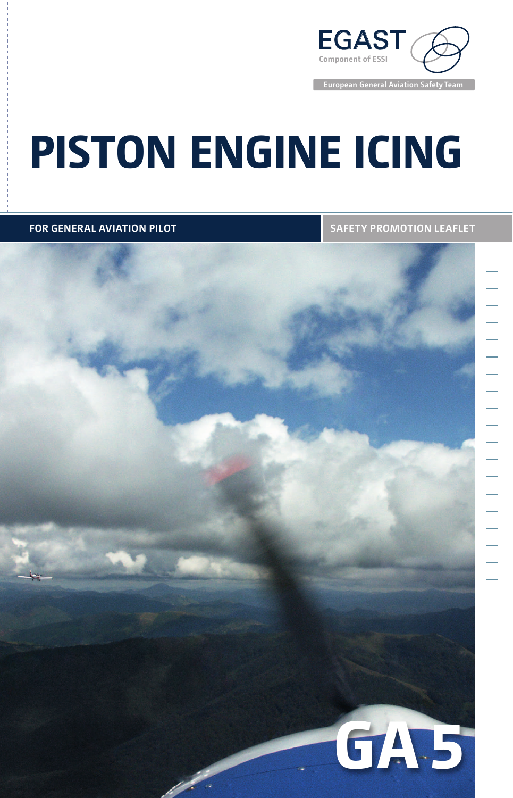

# **PISTON ENGINE ICING**

**FOR GENERAL AVIATION PILOT SAFETY PROMOTION LEAFLET**

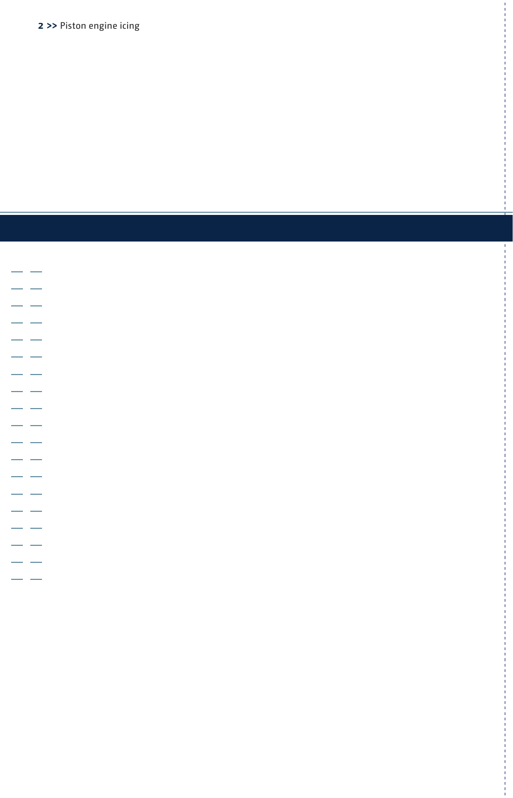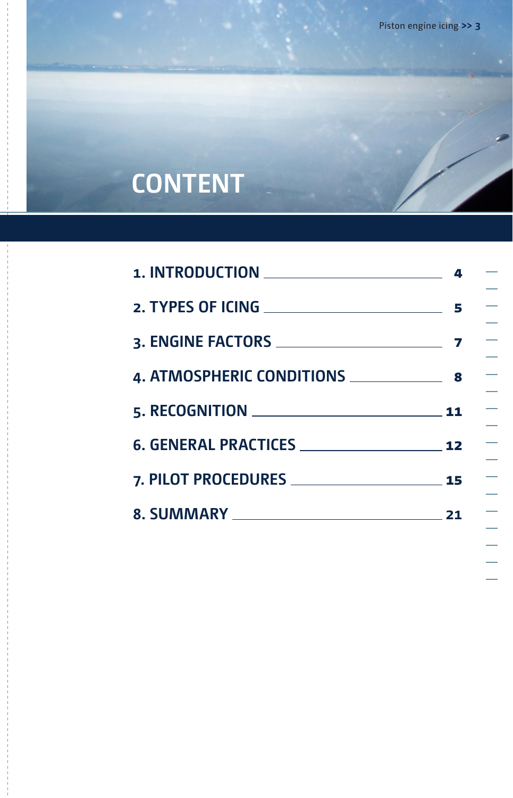# **CONTENT**

|  | ÷,       |
|--|----------|
|  | $\equiv$ |
|  | $\equiv$ |
|  |          |
|  |          |
|  |          |
|  |          |
|  |          |
|  |          |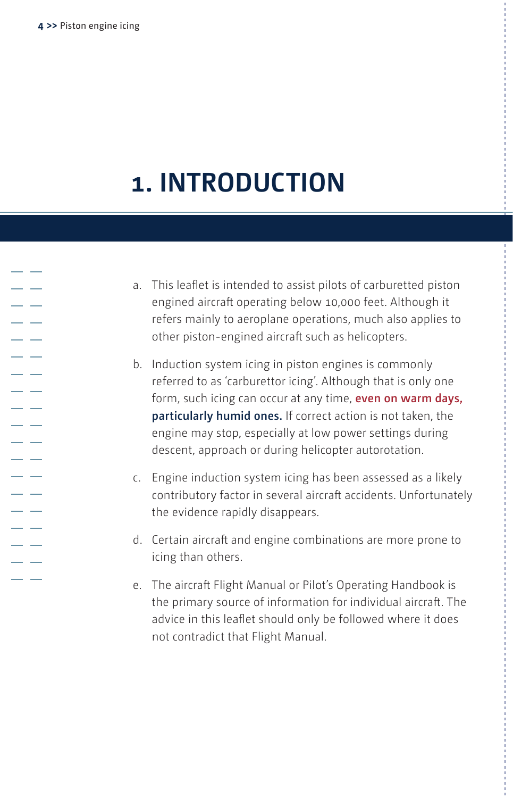$\overline{a}$ 

. .

 $\overline{\phantom{0}}$  $\overline{\phantom{0}}$ . L 

. Li

# **1. INTRODUCTION**

- a. This leaflet is intended to assist pilots of carburetted piston engined aircraft operating below 10,000 feet. Although it refers mainly to aeroplane operations, much also applies to other piston-engined aircraft such as helicopters.
- b. Induction system icing in piston engines is commonly referred to as 'carburettor icing'. Although that is only one form, such icing can occur at any time, **even on warm days, particularly humid ones.** If correct action is not taken, the engine may stop, especially at low power settings during descent, approach or during helicopter autorotation.
- c. Engine induction system icing has been assessed as a likely contributory factor in several aircraft accidents. Unfortunately the evidence rapidly disappears.
- d. Certain aircraft and engine combinations are more prone to icing than others.
- e. The aircraft Flight Manual or Pilot's Operating Handbook is the primary source of information for individual aircraft. The advice in this leaflet should only be followed where it does not contradict that Flight Manual.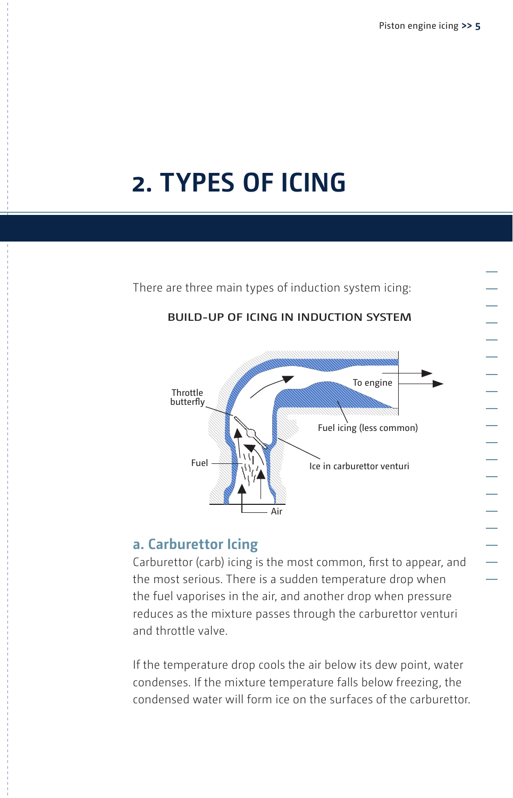### **2. TYPES OF ICING**

There are three main types of induction system icing:

**BUILD-UP OF ICING IN INDUCTION SYSTEM** 



#### **a. Carburettor Icing**

Carburettor (carb) icing is the most common, first to appear, and the most serious. There is a sudden temperature drop when the fuel vaporises in the air, and another drop when pressure reduces as the mixture passes through the carburettor venturi and throttle valve.

If the temperature drop cools the air below its dew point, water condenses. If the mixture temperature falls below freezing, the condensed water will form ice on the surfaces of the carburettor.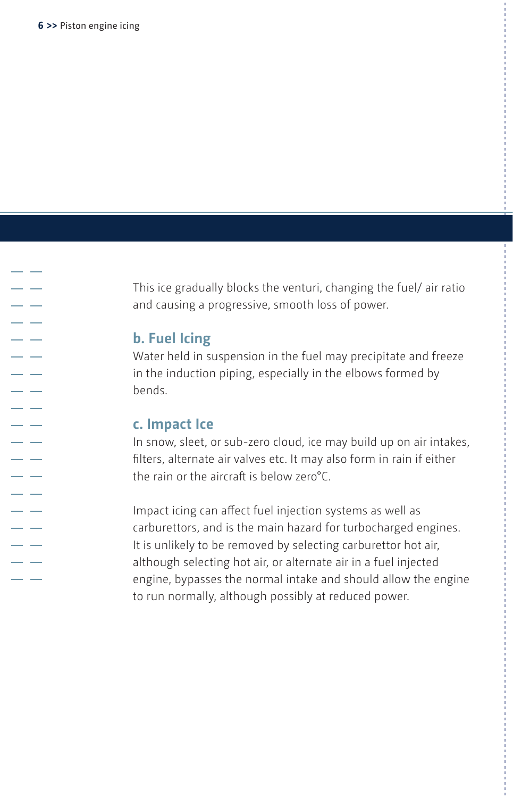J.  $-$ . .  $\overline{\phantom{0}}$ . . - -. L a an  $\overline{\phantom{0}}$ . L 

> $\overline{\phantom{0}}$ a sa sa

This ice gradually blocks the venturi, changing the fuel/ air ratio and causing a progressive, smooth loss of power.

#### **b. Fuel Icing**

Water held in suspension in the fuel may precipitate and freeze in the induction piping, especially in the elbows formed by bends.

#### **c. Impact Ice**

In snow, sleet, or sub-zero cloud, ice may build up on air intakes, filters, alternate air valves etc. It may also form in rain if either the rain or the aircraft is below zero°C.

Impact icing can affect fuel injection systems as well as carburettors, and is the main hazard for turbocharged engines. It is unlikely to be removed by selecting carburettor hot air, although selecting hot air, or alternate air in a fuel injected engine, bypasses the normal intake and should allow the engine to run normally, although possibly at reduced power.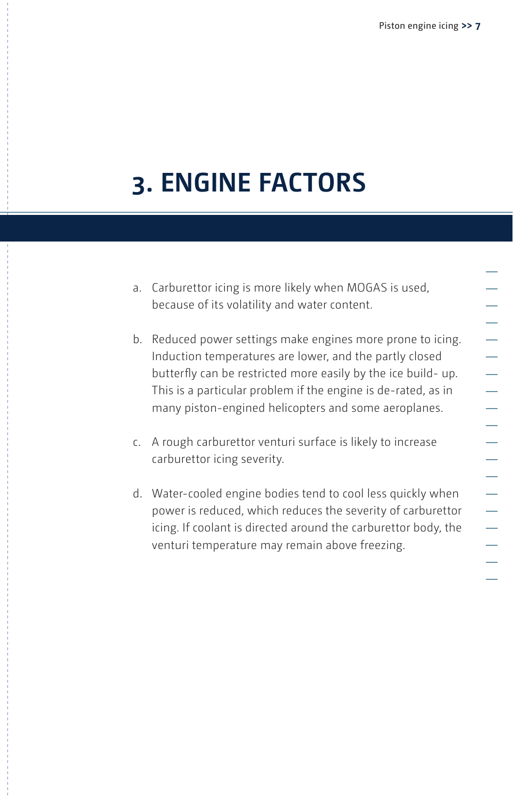## **3. ENGINE FACTORS**

- a. Carburettor icing is more likely when MOGAS is used, because of its volatility and water content.
- b. Reduced power settings make engines more prone to icing. Induction temperatures are lower, and the partly closed butterfly can be restricted more easily by the ice build- up. This is a particular problem if the engine is de-rated, as in many piston-engined helicopters and some aeroplanes.
- c. A rough carburettor venturi surface is likely to increase carburettor icing severity.
- d. Water-cooled engine bodies tend to cool less quickly when power is reduced, which reduces the severity of carburettor icing. If coolant is directed around the carburettor body, the venturi temperature may remain above freezing.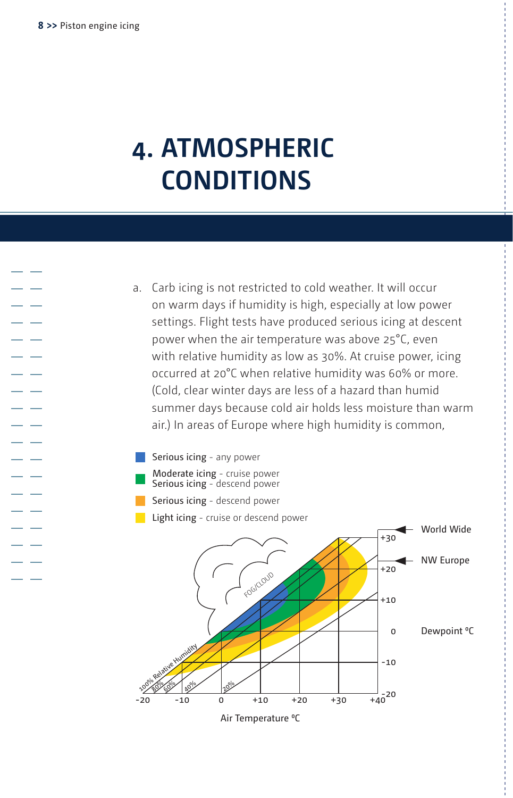### **4. ATMOSPHERIC CONDITIONS**

a. Carb icing is not restricted to cold weather. It will occur on warm days if humidity is high, especially at low power settings. Flight tests have produced serious icing at descent power when the air temperature was above 25°C, even with relative humidity as low as 30%. At cruise power, icing occurred at 20°C when relative humidity was 60% or more. (Cold, clear winter days are less of a hazard than humid summer days because cold air holds less moisture than warm air.) In areas of Europe where high humidity is common,





Air Temperature °C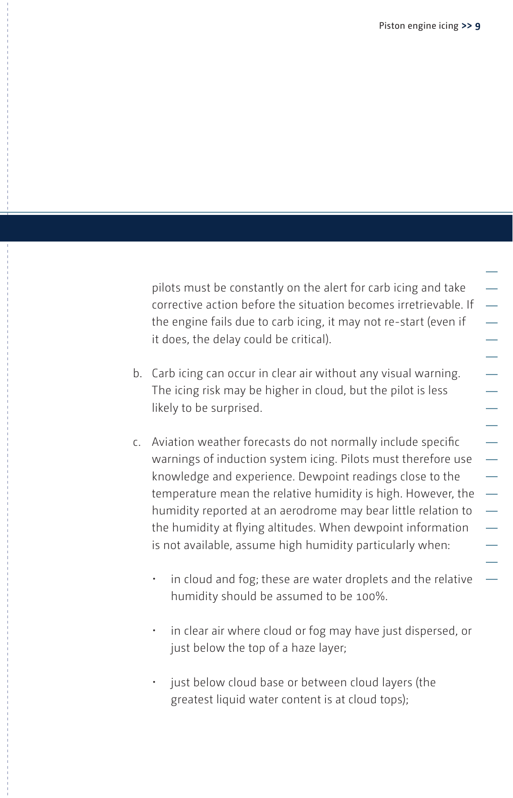$\overline{\phantom{0}}$ 

 $\overline{\phantom{0}}$ 

pilots must be constantly on the alert for carb icing and take corrective action before the situation becomes irretrievable. If the engine fails due to carb icing, it may not re-start (even if it does, the delay could be critical).

- b. Carb icing can occur in clear air without any visual warning. The icing risk may be higher in cloud, but the pilot is less likely to be surprised.
- c. Aviation weather forecasts do not normally include specific warnings of induction system icing. Pilots must therefore use knowledge and experience. Dewpoint readings close to the temperature mean the relative humidity is high. However, the humidity reported at an aerodrome may bear little relation to the humidity at flying altitudes. When dewpoint information is not available, assume high humidity particularly when:
	- in cloud and fog; these are water droplets and the relative humidity should be assumed to be 100%.
	- in clear air where cloud or fog may have just dispersed, or just below the top of a haze layer;
	- just below cloud base or between cloud layers (the greatest liquid water content is at cloud tops);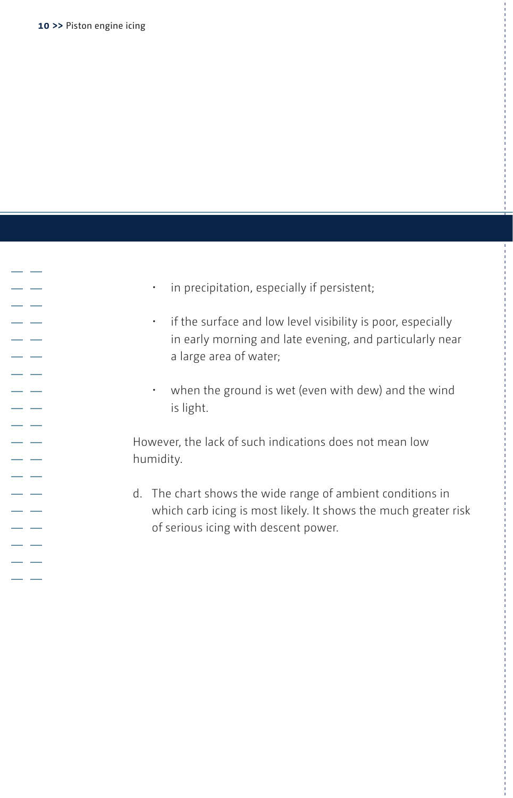. .  $-$ . <sub>.</sub>  $\overline{\phantom{0}}$  $\overline{\phantom{0}}$  $\mathbf{L}$  $\overline{\phantom{0}}$  $\overline{\phantom{0}}$  $\overline{\phantom{0}}$  $\overline{\phantom{0}}$  $\overline{\phantom{0}}$  $\overline{\phantom{0}}$  $\overline{\phantom{0}}$  $\overline{\phantom{0}}$ 

- • in precipitation, especially if persistent;
- • if the surface and low level visibility is poor, especially in early morning and late evening, and particularly near a large area of water;
- • when the ground is wet (even with dew) and the wind is light.

However, the lack of such indications does not mean low humidity.

d. The chart shows the wide range of ambient conditions in which carb icing is most likely. It shows the much greater risk of serious icing with descent power.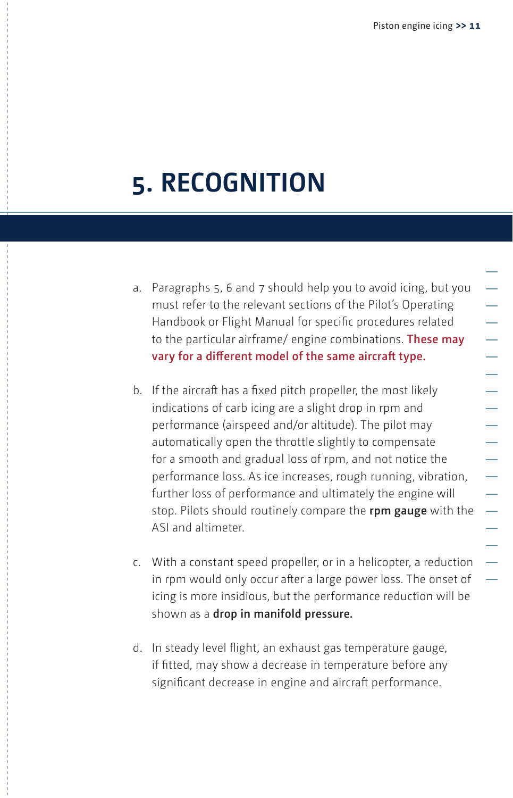$\overline{a}$  $\overline{\phantom{0}}$  $\overline{\phantom{0}}$ ÷.

### **5. RECOGNITION**

- a. Paragraphs 5, 6 and 7 should help you to avoid icing, but you must refer to the relevant sections of the Pilot's Operating Handbook or Flight Manual for specific procedures related to the particular airframe/ engine combinations. **These may vary for a different model of the same aircraft type.**
- b. If the aircraft has a fixed pitch propeller, the most likely indications of carb icing are a slight drop in rpm and performance (airspeed and/or altitude). The pilot may automatically open the throttle slightly to compensate for a smooth and gradual loss of rpm, and not notice the performance loss. As ice increases, rough running, vibration, further loss of performance and ultimately the engine will stop. Pilots should routinely compare the **rpm gauge** with the ASI and altimeter.
- c. With a constant speed propeller, or in a helicopter, a reduction in rpm would only occur after a large power loss. The onset of icing is more insidious, but the performance reduction will be shown as a **drop in manifold pressure.**
- d. In steady level flight, an exhaust gas temperature gauge, if fitted, may show a decrease in temperature before any significant decrease in engine and aircraft performance.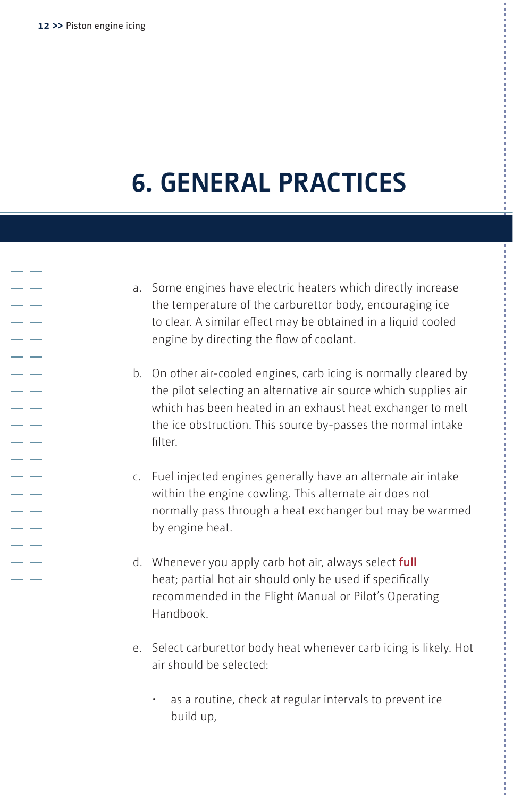. L  $-$ . .  $\overline{\phantom{0}}$ . . - -. L  $\overline{\phantom{0}}$  $\overline{\phantom{0}}$ . L  $\overline{\phantom{0}}$ 

a sa s

a sa

### **6. GENERAL PRACTICES**

- a. Some engines have electric heaters which directly increase the temperature of the carburettor body, encouraging ice to clear. A similar effect may be obtained in a liquid cooled engine by directing the flow of coolant.
- b. On other air-cooled engines, carb icing is normally cleared by the pilot selecting an alternative air source which supplies air which has been heated in an exhaust heat exchanger to melt the ice obstruction. This source by-passes the normal intake filter.
- c. Fuel injected engines generally have an alternate air intake within the engine cowling. This alternate air does not normally pass through a heat exchanger but may be warmed by engine heat.
- d. Whenever you apply carb hot air, always select **full** heat; partial hot air should only be used if specifically recommended in the Flight Manual or Pilot's Operating Handbook.
- e. Select carburettor body heat whenever carb icing is likely. Hot air should be selected:
	- as a routine, check at regular intervals to prevent ice build up,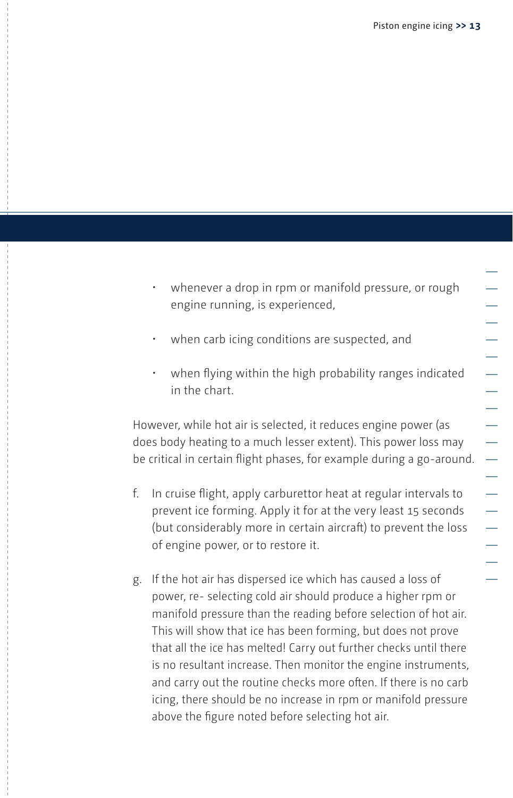$\overline{\phantom{0}}$ 

L,

 $\overline{\phantom{0}}$ 

 $\overline{\phantom{a}}$  $\overline{\phantom{0}}$  $\overline{\phantom{0}}$ 

- whenever a drop in rpm or manifold pressure, or rough engine running, is experienced,
- when carb icing conditions are suspected, and
- when flying within the high probability ranges indicated in the chart.

However, while hot air is selected, it reduces engine power (as does body heating to a much lesser extent). This power loss may be critical in certain flight phases, for example during a go-around.

- f. In cruise flight, apply carburettor heat at regular intervals to prevent ice forming. Apply it for at the very least 15 seconds (but considerably more in certain aircraft) to prevent the loss of engine power, or to restore it.
- g. If the hot air has dispersed ice which has caused a loss of power, re- selecting cold air should produce a higher rpm or manifold pressure than the reading before selection of hot air. This will show that ice has been forming, but does not prove that all the ice has melted! Carry out further checks until there is no resultant increase. Then monitor the engine instruments, and carry out the routine checks more often. If there is no carb icing, there should be no increase in rpm or manifold pressure above the figure noted before selecting hot air.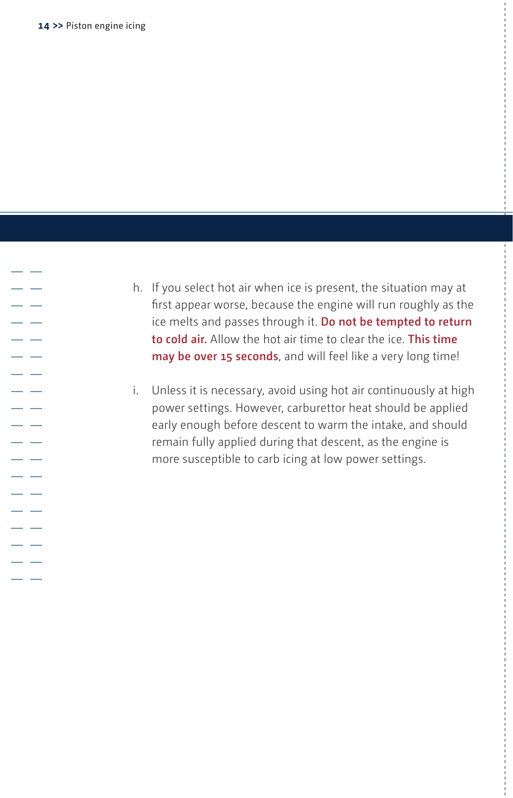a sa

. . 

a an  $\overline{\phantom{0}}$  $\overline{\phantom{0}}$  $\overline{\phantom{0}}$ 

a sa sa

- h. If you select hot air when ice is present, the situation may at first appear worse, because the engine will run roughly as the ice melts and passes through it. **Do not be tempted to return to cold air.** Allow the hot air time to clear the ice. **This time may be over 15 seconds**, and will feel like a very long time!
- i. Unless it is necessary, avoid using hot air continuously at high power settings. However, carburettor heat should be applied early enough before descent to warm the intake, and should remain fully applied during that descent, as the engine is more susceptible to carb icing at low power settings.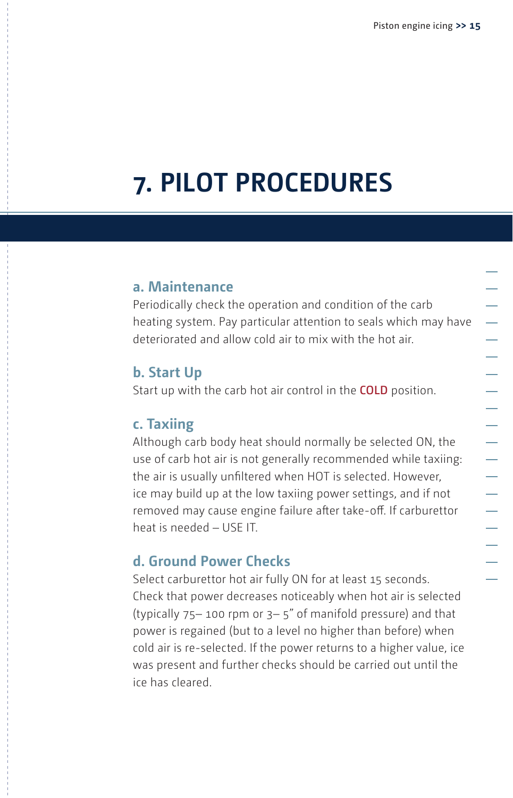### **7. PILOT PROCEDURES**

#### **a. Maintenance**

Periodically check the operation and condition of the carb heating system. Pay particular attention to seals which may have deteriorated and allow cold air to mix with the hot air.

#### **b. Start Up**

Start up with the carb hot air control in the **COLD** position.

#### **c. Taxiing**

Although carb body heat should normally be selected ON, the use of carb hot air is not generally recommended while taxiing: the air is usually unfiltered when HOT is selected. However, ice may build up at the low taxiing power settings, and if not removed may cause engine failure after take-off. If carburettor heat is needed – USE IT.

#### **d. Ground Power Checks**

Select carburettor hot air fully ON for at least 15 seconds. Check that power decreases noticeably when hot air is selected (typically  $75-100$  rpm or  $3-5$ " of manifold pressure) and that power is regained (but to a level no higher than before) when cold air is re-selected. If the power returns to a higher value, ice was present and further checks should be carried out until the ice has cleared.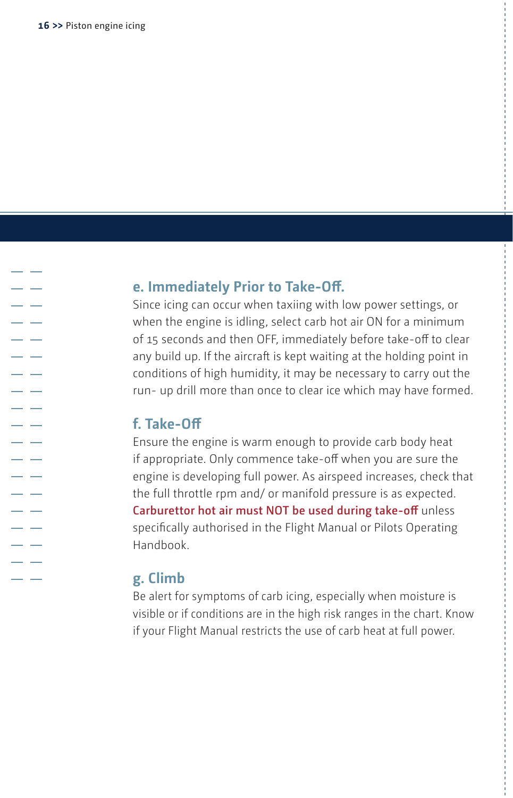a sa

. L . L . L

#### **e. Immediately Prior to Take‑Off.**

Since icing can occur when taxiing with low power settings, or when the engine is idling, select carb hot air ON for a minimum of 15 seconds and then OFF, immediately before take-off to clear any build up. If the aircraft is kept waiting at the holding point in conditions of high humidity, it may be necessary to carry out the run- up drill more than once to clear ice which may have formed.

#### **f. Take‑Off**

Ensure the engine is warm enough to provide carb body heat if appropriate. Only commence take-off when you are sure the engine is developing full power. As airspeed increases, check that the full throttle rpm and/ or manifold pressure is as expected. **Carburettor hot air must NOT be used during take‑off** unless specifically authorised in the Flight Manual or Pilots Operating Handbook.

#### **g. Climb**

Be alert for symptoms of carb icing, especially when moisture is visible or if conditions are in the high risk ranges in the chart. Know if your Flight Manual restricts the use of carb heat at full power.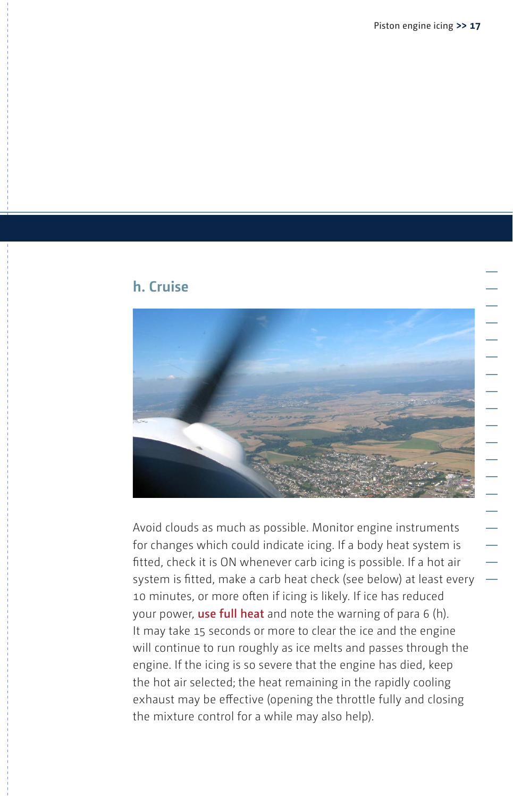#### **h. Cruise**



Avoid clouds as much as possible. Monitor engine instruments for changes which could indicate icing. If a body heat system is fitted, check it is ON whenever carb icing is possible. If a hot air system is fitted, make a carb heat check (see below) at least every 10 minutes, or more often if icing is likely. If ice has reduced your power, **use full heat** and note the warning of para 6 (h). It may take 15 seconds or more to clear the ice and the engine will continue to run roughly as ice melts and passes through the engine. If the icing is so severe that the engine has died, keep the hot air selected; the heat remaining in the rapidly cooling exhaust may be effective (opening the throttle fully and closing the mixture control for a while may also help).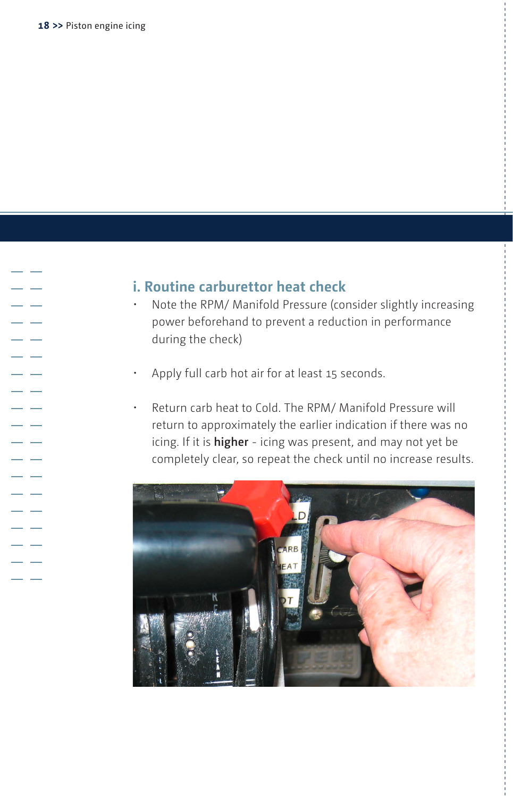. L

#### **i. Routine carburettor heat check**

- Note the RPM/ Manifold Pressure (consider slightly increasing power beforehand to prevent a reduction in performance during the check)
- Apply full carb hot air for at least 15 seconds.
- Return carb heat to Cold. The RPM/ Manifold Pressure will return to approximately the earlier indication if there was no icing. If it is **higher** - icing was present, and may not yet be completely clear, so repeat the check until no increase results.

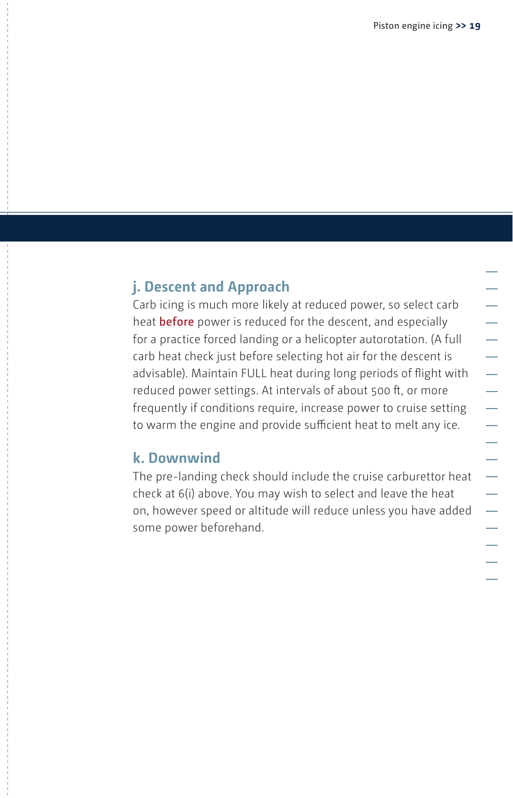#### **j. Descent and Approach**

Carb icing is much more likely at reduced power, so select carb heat **before** power is reduced for the descent, and especially for a practice forced landing or a helicopter autorotation. (A full carb heat check just before selecting hot air for the descent is advisable). Maintain FULL heat during long periods of flight with reduced power settings. At intervals of about 500 ft, or more frequently if conditions require, increase power to cruise setting to warm the engine and provide sufficient heat to melt any ice.

#### **k. Downwind**

The pre-landing check should include the cruise carburettor heat check at 6(i) above. You may wish to select and leave the heat on, however speed or altitude will reduce unless you have added some power beforehand.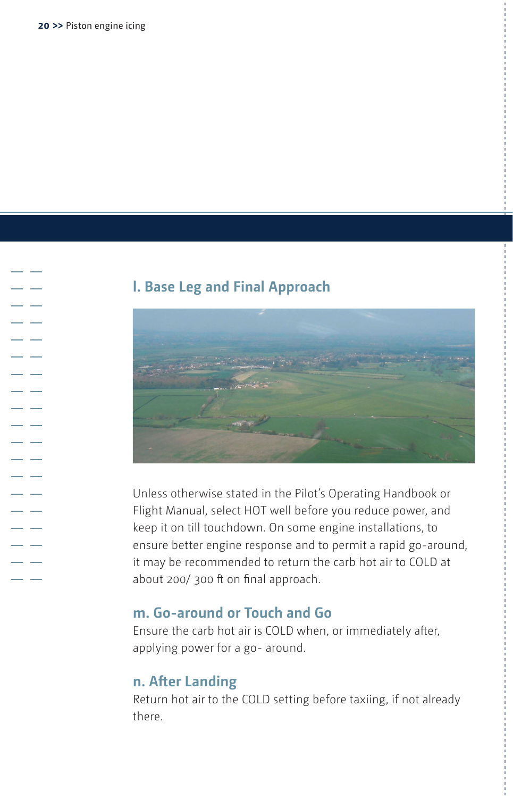- 4

#### **l. Base Leg and Final Approach**



Unless otherwise stated in the Pilot's Operating Handbook or Flight Manual, select HOT well before you reduce power, and keep it on till touchdown. On some engine installations, to ensure better engine response and to permit a rapid go-around, it may be recommended to return the carb hot air to COLD at about 200/ 300 ft on final approach.

#### **m. Go‑around or Touch and Go**

Ensure the carb hot air is COLD when, or immediately after, applying power for a go- around.

#### **n. After Landing**

Return hot air to the COLD setting before taxiing, if not already there.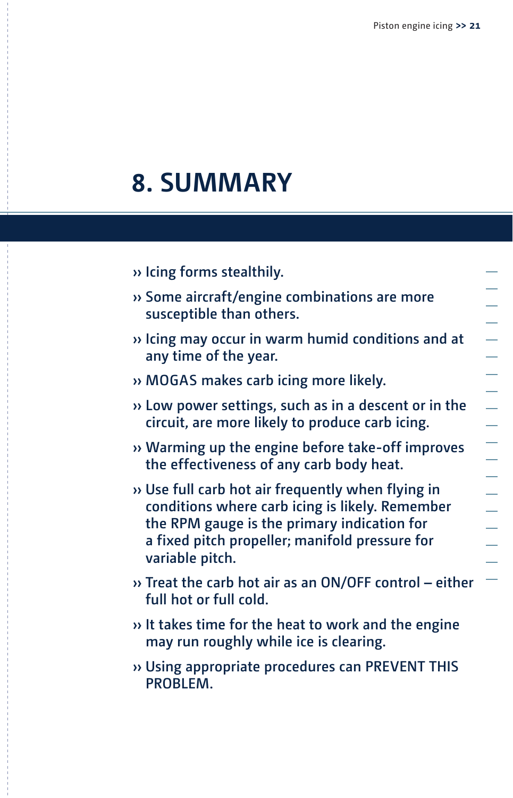### **8. SUMMARY**

- **›› Icing forms stealthily.**
- **›› Some aircraft/engine combinations are more susceptible than others.**
- **›› Icing may occur in warm humid conditions and at any time of the year.**
- **›› MOGAS makes carb icing more likely.**
- **›› Low power settings, such as in a descent or in the circuit, are more likely to produce carb icing.**
- **›› Warming up the engine before take‑off improves the effectiveness of any carb body heat.**
- **›› Use full carb hot air frequently when flying in conditions where carb icing is likely. Remember the RPM gauge is the primary indication for a fixed pitch propeller; manifold pressure for variable pitch.**
- **›› Treat the carb hot air as an ON/OFF control either full hot or full cold.**
- **›› It takes time for the heat to work and the engine may run roughly while ice is clearing.**
- **›› Using appropriate procedures can PREVENT THIS PROBLEM.**

 $\overline{\phantom{0}}$  $\overline{a}$  $\frac{1}{2}$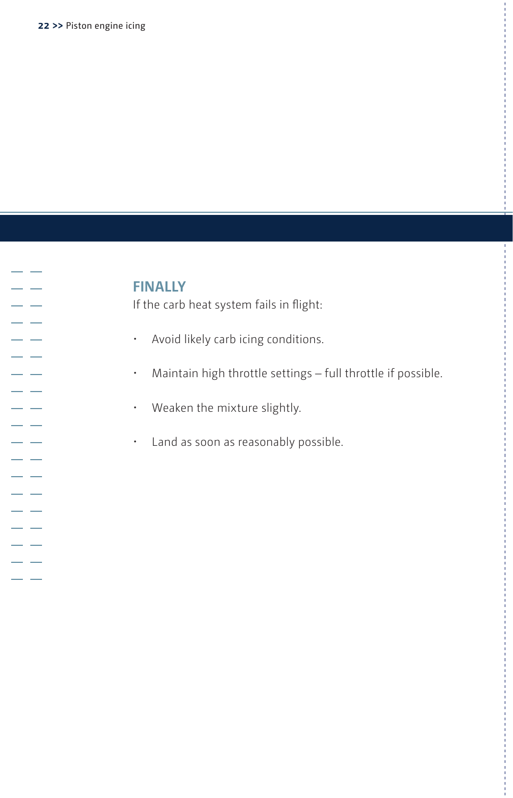. <sub>. . .</sub>  $\overline{\phantom{0}}$  $\overline{\phantom{0}}$  $\overline{\phantom{0}}$  $\overline{\phantom{0}}$  $\overline{\phantom{0}}$  $\overline{\phantom{0}}$  $\overline{\phantom{0}}$  $\overline{\phantom{0}}$  $\overline{\phantom{0}}$  $\overline{\phantom{0}}$  $\overline{\phantom{0}}$  $\overline{\phantom{0}}$  $\overline{\phantom{0}}$ 

#### **FINALLY**

If the carb heat system fails in flight:

- • Avoid likely carb icing conditions.
- • Maintain high throttle settings full throttle if possible.
- • Weaken the mixture slightly.
- • Land as soon as reasonably possible.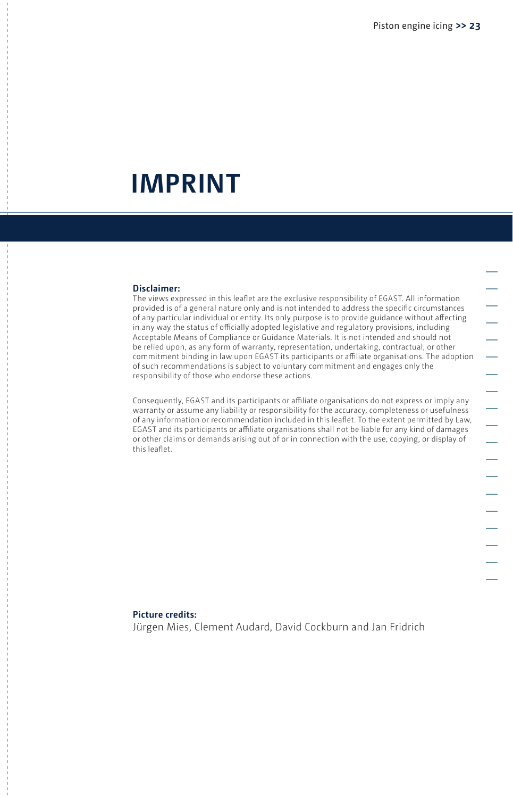### **IMPRINT**

#### **Disclaimer:**

The views expressed in this leaflet are the exclusive responsibility of EGAST. All information provided is of a general nature only and is not intended to address the specific circumstances of any particular individual or entity. Its only purpose is to provide guidance without affecting in any way the status of officially adopted legislative and regulatory provisions, including Acceptable Means of Compliance or Guidance Materials. It is not intended and should not be relied upon, as any form of warranty, representation, undertaking, contractual, or other commitment binding in law upon EGAST its participants or affiliate organisations. The adoption of such recommendations is subject to voluntary commitment and engages only the responsibility of those who endorse these actions.

Consequently, EGAST and its participants or affiliate organisations do not express or imply any warranty or assume any liability or responsibility for the accuracy, completeness or usefulness of any information or recommendation included in this leaflet. To the extent permitted by Law, EGAST and its participants or affiliate organisations shall not be liable for any kind of damages or other claims or demands arising out of or in connection with the use, copying, or display of this leaflet.

#### **Picture credits:** Jürgen Mies, Clement Audard, David Cockburn and Jan Fridrich